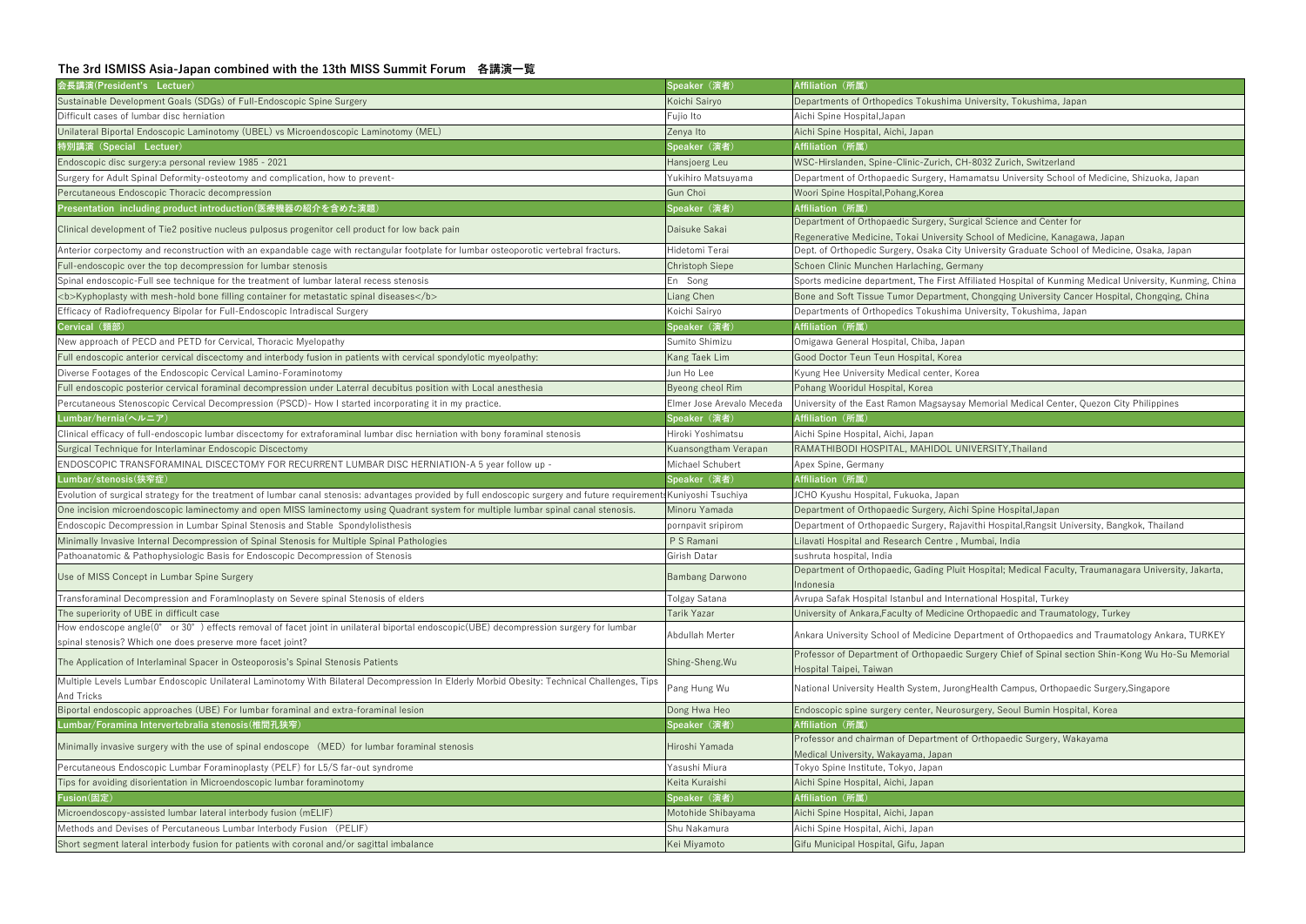## **The 3rd ISMISS Asia-Japan combined with the 13th MISS Summit Forum 各講演一覧**

| 会長講演(President's Lectuer)                                                                                                                                           | Speaker (演者)              | Affiliation (所属)                                                                                                                      |
|---------------------------------------------------------------------------------------------------------------------------------------------------------------------|---------------------------|---------------------------------------------------------------------------------------------------------------------------------------|
| Sustainable Development Goals (SDGs) of Full-Endoscopic Spine Surgery                                                                                               | Koichi Sairyo             | Departments of Orthopedics Tokushima University, Tokushima, Jap                                                                       |
| Difficult cases of lumbar disc herniation                                                                                                                           | Fujio Ito                 | Aichi Spine Hospital, Japan                                                                                                           |
| Unilateral Biportal Endoscopic Laminotomy (UBEL) vs Microendoscopic Laminotomy (MEL)                                                                                | Zenya Ito                 | Aichi Spine Hospital, Aichi, Japan                                                                                                    |
| 特別講演(Special Lectuer)                                                                                                                                               | Speaker (演者)              | Affiliation (所属)                                                                                                                      |
| Endoscopic disc surgery: a personal review 1985 - 2021                                                                                                              | Hansjoerg Leu             | WSC-Hirslanden, Spine-Clinic-Zurich, CH-8032 Zurich, Switzerland                                                                      |
| Surgery for Adult Spinal Deformity-osteotomy and complication, how to prevent-                                                                                      | Yukihiro Matsuyama        | Department of Orthopaedic Surgery, Hamamatsu University School                                                                        |
| Percutaneous Endoscopic Thoracic decompression                                                                                                                      | Gun Choi                  | Woori Spine Hospital, Pohang, Korea                                                                                                   |
| Presentation including product introduction(医療機器の紹介を含めた演題)                                                                                                          | Speaker (演者)              | Affiliation (所属)                                                                                                                      |
| Clinical development of Tie2 positive nucleus pulposus progenitor cell product for low back pain                                                                    | Daisuke Sakai             | Department of Orthopaedic Surgery, Surgical Science and Center f                                                                      |
| Anterior corpectomy and reconstruction with an expandable cage with rectangular footplate for lumbar osteoporotic vertebral fracturs.                               | Hidetomi Terai            | Regenerative Medicine, Tokai University School of Medicine, Kana<br>Dept. of Orthopedic Surgery, Osaka City University Graduate Schoo |
| Full-endoscopic over the top decompression for lumbar stenosis                                                                                                      | <b>Christoph Siepe</b>    | Schoen Clinic Munchen Harlaching, Germany                                                                                             |
| Spinal endoscopic-Full see technique for the treatment of lumbar lateral recess stenosis                                                                            | En Song                   | Sports medicine department, The First Affiliated Hospital of Kunmi                                                                    |
| <b>Kyphoplasty with mesh-hold bone filling container for metastatic spinal diseases</b>                                                                             | <b>Liang Chen</b>         | Bone and Soft Tissue Tumor Department, Chongqing University Ca                                                                        |
| Efficacy of Radiofrequency Bipolar for Full-Endoscopic Intradiscal Surgery                                                                                          | Koichi Sairyo             | Departments of Orthopedics Tokushima University, Tokushima, Jap                                                                       |
| Cervical (頸部)                                                                                                                                                       | Speaker (演者)              | Affiliation (所属)                                                                                                                      |
| New approach of PECD and PETD for Cervical, Thoracic Myelopathy                                                                                                     | Sumito Shimizu            | Omigawa General Hospital, Chiba, Japan                                                                                                |
|                                                                                                                                                                     |                           |                                                                                                                                       |
| Full endoscopic anterior cervical discectomy and interbody fusion in patients with cervical spondylotic myeolpathy:                                                 | Kang Taek Lim             | Good Doctor Teun Teun Hospital, Korea                                                                                                 |
| Diverse Footages of the Endoscopic Cervical Lamino-Foraminotomy                                                                                                     | Jun Ho Lee                | Kyung Hee University Medical center, Korea                                                                                            |
| Full endoscopic posterior cervical foraminal decompression under Laterral decubitus position with Local anesthesia                                                  | Byeong cheol Rim          | Pohang Wooridul Hospital, Korea                                                                                                       |
| Percutaneous Stenoscopic Cervical Decompression (PSCD)- How I started incorporating it in my practice.                                                              | Elmer Jose Arevalo Meceda | University of the East Ramon Magsaysay Memorial Medical Center                                                                        |
| Lumbar/hernia(ヘルニア)                                                                                                                                                 | Speaker (演者)              | Affiliation (所属)                                                                                                                      |
| Clinical efficacy of full-endoscopic lumbar discectomy for extraforaminal lumbar disc herniation with bony foraminal stenosis                                       | Hiroki Yoshimatsu         | Aichi Spine Hospital, Aichi, Japan                                                                                                    |
| Surgical Technique for Interlaminar Endoscopic Discectomy                                                                                                           | Kuansongtham Verapan      | RAMATHIBODI HOSPITAL, MAHIDOL UNIVERSITY, Thailand                                                                                    |
| ENDOSCOPIC TRANSFORAMINAL DISCECTOMY FOR RECURRENT LUMBAR DISC HERNIATION-A 5 year follow up -                                                                      | Michael Schubert          | Apex Spine, Germany                                                                                                                   |
|                                                                                                                                                                     |                           |                                                                                                                                       |
| Lumbar/stenosis(狭窄症)                                                                                                                                                | Speaker (演者)              | Affiliation (所属)                                                                                                                      |
| Evolution of surgical strategy for the treatment of lumbar canal stenosis: advantages provided by full endoscopic surgery and future requirement Kuniyoshi Tsuchiya |                           | JCHO Kyushu Hospital, Fukuoka, Japan                                                                                                  |
| One incision microendoscopic laminectomy and open MISS laminectomy using Quadrant system for multiple lumbar spinal canal stenosis.                                 | Minoru Yamada             | Department of Orthopaedic Surgery, Aichi Spine Hospital, Japan                                                                        |
| Endoscopic Decompression in Lumbar Spinal Stenosis and Stable Spondylolisthesis                                                                                     | pornpavit sripirom        | Department of Orthopaedic Surgery, Rajavithi Hospital, Rangsit Uni                                                                    |
| Minimally Invasive Internal Decompression of Spinal Stenosis for Multiple Spinal Pathologies                                                                        | P S Ramani                | Lilavati Hospital and Research Centre, Mumbai, India                                                                                  |
| Pathoanatomic & Pathophysiologic Basis for Endoscopic Decompression of Stenosis                                                                                     | Girish Datar              | sushruta hospital, India                                                                                                              |
| Use of MISS Concept in Lumbar Spine Surgery                                                                                                                         | <b>Bambang Darwono</b>    | Department of Orthopaedic, Gading Pluit Hospital; Medical Faculty                                                                     |
| Transforaminal Decompression and ForamInoplasty on Severe spinal Stenosis of elders                                                                                 | Tolgay Satana             | ndonesia<br>Avrupa Safak Hospital Istanbul and International Hospital, Turkey                                                         |
| The superiority of UBE in difficult case                                                                                                                            | <b>Tarik Yazar</b>        | University of Ankara, Faculty of Medicine Orthopaedic and Traumat                                                                     |
| How endoscope angle(0° or 30°) effects removal of facet joint in unilateral biportal endoscopic(UBE) decompression surgery for lumbar                               | Abdullah Merter           | Ankara University School of Medicine Department of Orthopaedics                                                                       |
| spinal stenosis? Which one does preserve more facet joint?                                                                                                          |                           |                                                                                                                                       |
| The Application of Interlaminal Spacer in Osteoporosis's Spinal Stenosis Patients                                                                                   | Shing-Sheng. Wu           | Professor of Department of Orthopaedic Surgery Chief of Spinal se<br>Hospital Taipei, Taiwan                                          |
| Multiple Levels Lumbar Endoscopic Unilateral Laminotomy With Bilateral Decompression In Elderly Morbid Obesity: Technical Challenges, Tips                          | Pang Hung Wu              | National University Health System, JurongHealth Campus, Orthopa                                                                       |
| <b>And Tricks</b><br>Biportal endoscopic approaches (UBE) For lumbar foraminal and extra-foraminal lesion                                                           | Dong Hwa Heo              | Endoscopic spine surgery center, Neurosurgery, Seoul Bumin Hosp                                                                       |
| Lumbar/Foramina Intervertebralia stenosis(椎間孔狭窄)                                                                                                                    | Speaker (演者)              | Affiliation (所属)                                                                                                                      |
|                                                                                                                                                                     |                           | Professor and chairman of Department of Orthopaedic Surgery, Wa                                                                       |
| Minimally invasive surgery with the use of spinal endoscope (MED) for lumbar foraminal stenosis                                                                     | Hiroshi Yamada            | Medical University, Wakayama, Japan                                                                                                   |
| Percutaneous Endoscopic Lumbar Foraminoplasty (PELF) for L5/S far-out syndrome                                                                                      | Yasushi Miura             | Tokyo Spine Institute, Tokyo, Japan                                                                                                   |
| Tips for avoiding disorientation in Microendoscopic lumbar foraminotomy                                                                                             | Keita Kuraishi            | Aichi Spine Hospital, Aichi, Japan                                                                                                    |
| Fusion(固定)                                                                                                                                                          | Speaker (演者)              | Affiliation (所属)                                                                                                                      |
| Microendoscopy-assisted lumbar lateral interbody fusion (mELIF)                                                                                                     | Motohide Shibayama        | Aichi Spine Hospital, Aichi, Japan                                                                                                    |
| Methods and Devises of Percutaneous Lumbar Interbody Fusion (PELIF)                                                                                                 | Shu Nakamura              | Aichi Spine Hospital, Aichi, Japan                                                                                                    |

ersity, Tokushima, Japan

atsu University School of Medicine, Shizuoka, Japan

Science and Center for

ool of Medicine, Kanagawa, Japan

versity Graduate School of Medicine, Osaka, Japan

Ited Hospital of Kunming Medical University, Kunming, China

**Kyphopland and bone for mesh-hold bone filling and Soft Tissue Chen Bone and Soft Tissue Tumor Department Tumor** 

ersity, Tokushima, Japan

morial Medical Center, Quezon City Philippines

i Hospital, Rangsit University, Bangkok, Thailand

spital; Medical Faculty, Traumanagara University, Jakarta,

hopaedic and Traumatology, Turkey

tment of Orthopaedics and Traumatology Ankara, TURKEY

Professor Chief of Spinal section Shin-Kong Wu Ho-Su Memorial

alth Campus, Orthopaedic Surgery, Singapore

ery, Seoul Bumin Hospital, Koreanin

thopaedic Surgery, Wakayama